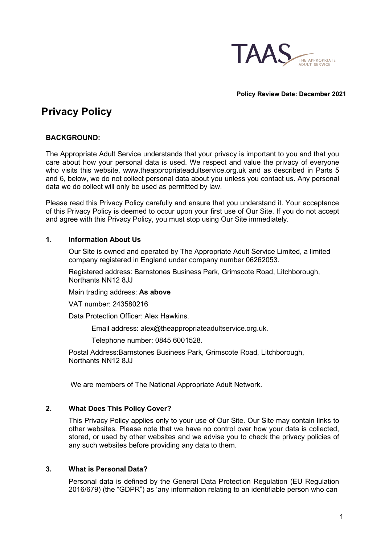

**Policy Review Date: December 2021** 

# **Privacy Policy**

# **BACKGROUND:**

The Appropriate Adult Service understands that your privacy is important to you and that you care about how your personal data is used. We respect and value the privacy of everyone who visits this website, [www.theappropriateadultservice.org.uk a](http://www.theappropriateadultservice.org.uk/)nd as described in Parts 5 and 6, below, we do not collect personal data about you unless you contact us. Any personal data we do collect will only be used as permitted by law.

Please read this Privacy Policy carefully and ensure that you understand it. Your acceptance of this Privacy Policy is deemed to occur upon your first use of Our Site. If you do not accept and agree with this Privacy Policy, you must stop using Our Site immediately.

## **1. Information About Us**

Our Site is owned and operated by The Appropriate Adult Service Limited, a limited company registered in England under company number 06262053.

Registered address: Barnstones Business Park, Grimscote Road, Litchborough, Northants NN12 8JJ

Main trading address: **As above**

VAT number: 243580216

Data Protection Officer: Alex Hawkins.

Email address: [alex@theappropriateadultservice.org.uk.](mailto:alex@theappropriateadultservice.org.uk)

Telephone number: 0845 6001528.

Postal Address:Barnstones Business Park, Grimscote Road, Litchborough, Northants NN12 8JJ

We are members of The National Appropriate Adult Network.

## **2. What Does This Policy Cover?**

This Privacy Policy applies only to your use of Our Site. Our Site may contain links to other websites. Please note that we have no control over how your data is collected, stored, or used by other websites and we advise you to check the privacy policies of any such websites before providing any data to them.

## **3. What is Personal Data?**

Personal data is defined by the General Data Protection Regulation (EU Regulation 2016/679) (the "GDPR") as 'any information relating to an identifiable person who can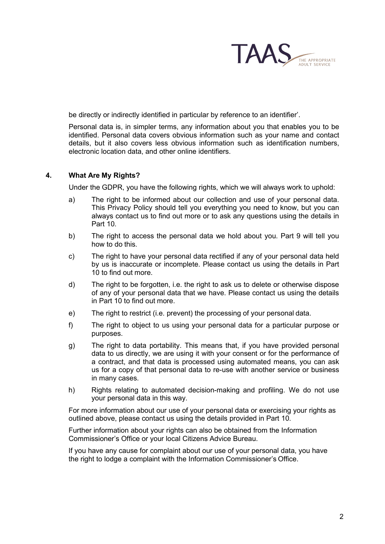

be directly or indirectly identified in particular by reference to an identifier'.

Personal data is, in simpler terms, any information about you that enables you to be identified. Personal data covers obvious information such as your name and contact details, but it also covers less obvious information such as identification numbers, electronic location data, and other online identifiers.

### **4. What Are My Rights?**

Under the GDPR, you have the following rights, which we will always work to uphold:

- a) The right to be informed about our collection and use of your personal data. This Privacy Policy should tell you everything you need to know, but you can always contact us to find out more or to ask any questions using the details in Part 10.
- b) The right to access the personal data we hold about you. Part 9 will tell you how to do this.
- c) The right to have your personal data rectified if any of your personal data held by us is inaccurate or incomplete. Please contact us using the details in Part 10 to find out more.
- d) The right to be forgotten, i.e. the right to ask us to delete or otherwise dispose of any of your personal data that we have. Please contact us using the details in Part 10 to find out more.
- e) The right to restrict (i.e. prevent) the processing of your personal data.
- f) The right to object to us using your personal data for a particular purpose or purposes.
- g) The right to data portability. This means that, if you have provided personal data to us directly, we are using it with your consent or for the performance of a contract, and that data is processed using automated means, you can ask us for a copy of that personal data to re-use with another service or business in many cases.
- h) Rights relating to automated decision-making and profiling. We do not use your personal data in this way.

For more information about our use of your personal data or exercising your rights as outlined above, please contact us using the details provided in Part 10.

Further information about your rights can also be obtained from the Information Commissioner's Office or your local Citizens Advice Bureau.

If you have any cause for complaint about our use of your personal data, you have the right to lodge a complaint with the Information Commissioner's Office.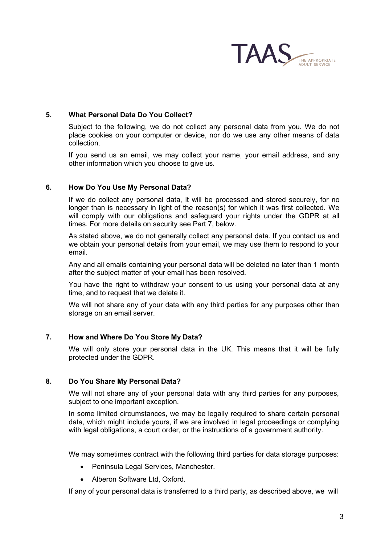

## **5. What Personal Data Do You Collect?**

Subject to the following, we do not collect any personal data from you. We do not place cookies on your computer or device, nor do we use any other means of data collection.

If you send us an email, we may collect your name, your email address, and any other information which you choose to give us.

#### **6. How Do You Use My Personal Data?**

If we do collect any personal data, it will be processed and stored securely, for no longer than is necessary in light of the reason(s) for which it was first collected. We will comply with our obligations and safeguard your rights under the GDPR at all times. For more details on security see Part 7, below.

As stated above, we do not generally collect any personal data. If you contact us and we obtain your personal details from your email, we may use them to respond to your email.

Any and all emails containing your personal data will be deleted no later than 1 month after the subject matter of your email has been resolved.

You have the right to withdraw your consent to us using your personal data at any time, and to request that we delete it.

We will not share any of your data with any third parties for any purposes other than storage on an email server.

## **7. How and Where Do You Store My Data?**

We will only store your personal data in the UK. This means that it will be fully protected under the GDPR.

#### **8. Do You Share My Personal Data?**

We will not share any of your personal data with any third parties for any purposes, subject to one important exception.

In some limited circumstances, we may be legally required to share certain personal data, which might include yours, if we are involved in legal proceedings or complying with legal obligations, a court order, or the instructions of a government authority.

We may sometimes contract with the following third parties for data storage purposes:

- Peninsula Legal Services, Manchester.
- Alberon Software Ltd, Oxford.

If any of your personal data is transferred to a third party, as described above, we will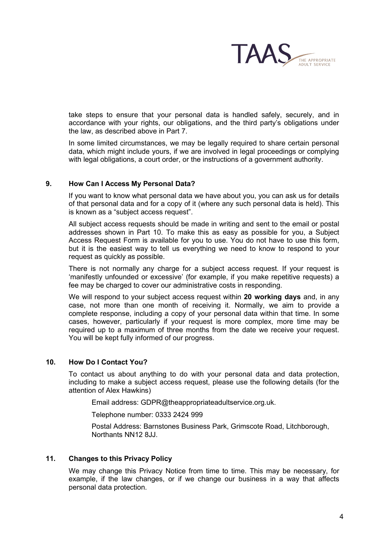

take steps to ensure that your personal data is handled safely, securely, and in accordance with your rights, our obligations, and the third party's obligations under the law, as described above in Part 7.

In some limited circumstances, we may be legally required to share certain personal data, which might include yours, if we are involved in legal proceedings or complying with legal obligations, a court order, or the instructions of a government authority.

## **9. How Can I Access My Personal Data?**

If you want to know what personal data we have about you, you can ask us for details of that personal data and for a copy of it (where any such personal data is held). This is known as a "subject access request".

All subject access requests should be made in writing and sent to the email or postal addresses shown in Part 10. To make this as easy as possible for you, a Subject Access Request Form is available for you to use. You do not have to use this form, but it is the easiest way to tell us everything we need to know to respond to your request as quickly as possible.

There is not normally any charge for a subject access request. If your request is 'manifestly unfounded or excessive' (for example, if you make repetitive requests) a fee may be charged to cover our administrative costs in responding.

We will respond to your subject access request within **20 working days** and, in any case, not more than one month of receiving it. Normally, we aim to provide a complete response, including a copy of your personal data within that time. In some cases, however, particularly if your request is more complex, more time may be required up to a maximum of three months from the date we receive your request. You will be kept fully informed of our progress.

#### **10. How Do I Contact You?**

To contact us about anything to do with your personal data and data protection, including to make a subject access request, please use the following details (for the attention of Alex Hawkins)

Email address: GDPR[@theappropriateadultservice.org.u](mailto:alex@theappropriateadultservice.org.uk)k.

Telephone number: 0333 2424 999

Postal Address: Barnstones Business Park, Grimscote Road, Litchborough, Northants NN12 8JJ.

#### **11. Changes to this Privacy Policy**

We may change this Privacy Notice from time to time. This may be necessary, for example, if the law changes, or if we change our business in a way that affects personal data protection.